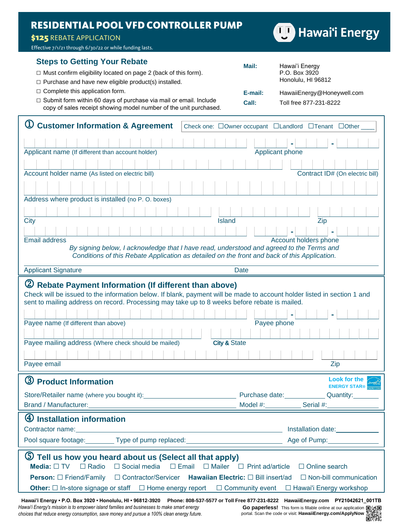# **RESIDENTIAL POOL VFD CONTROLLER PUMP**

### \$125 REBATE APPLICATION

Effective 7/1/21 through 6/30/22 or while funding lasts.

## **Steps to Getting Your Rebate**

| $\Box$ Must confirm eligibility located on page 2 (back of this form). |  |
|------------------------------------------------------------------------|--|
|------------------------------------------------------------------------|--|

- $\square$  Purchase and have new eligible product(s) installed.
- □ Complete this application form.
- □ Submit form within 60 days of purchase via mail or email. Include copy of sales receipt showing model number of the unit purchased.

| <b>Customer Information &amp; Agreement</b><br>Check one: □Owner occupant □Landlord □Tenant □Other                                                                                       |  |
|------------------------------------------------------------------------------------------------------------------------------------------------------------------------------------------|--|
|                                                                                                                                                                                          |  |
| Applicant name (If different than account holder)<br>Applicant phone                                                                                                                     |  |
|                                                                                                                                                                                          |  |
| Contract ID# (On electric bill)<br>Account holder name (As listed on electric bill)                                                                                                      |  |
|                                                                                                                                                                                          |  |
| Address where product is installed (no P.O. boxes)                                                                                                                                       |  |
|                                                                                                                                                                                          |  |
| <b>Island</b><br><b>City</b><br>Zip                                                                                                                                                      |  |
|                                                                                                                                                                                          |  |
| <b>Email address</b><br>Account holders phone                                                                                                                                            |  |
| By signing below, I acknowledge that I have read, understood and agreed to the Terms and<br>Conditions of this Rebate Application as detailed on the front and back of this Application. |  |
| <b>Applicant Signature</b><br><b>Date</b>                                                                                                                                                |  |
|                                                                                                                                                                                          |  |
| (2) Rebate Payment Information (If different than above)                                                                                                                                 |  |
| Check will be issued to the information below. If blank, payment will be made to account holder listed in section 1 and                                                                  |  |
| sent to mailing address on record. Processing may take up to 8 weeks before rebate is mailed.                                                                                            |  |
|                                                                                                                                                                                          |  |
| Payee name (If different than above)<br>Payee phone                                                                                                                                      |  |
|                                                                                                                                                                                          |  |
| <b>City &amp; State</b><br>Payee mailing address (Where check should be mailed)                                                                                                          |  |
|                                                                                                                                                                                          |  |
| Payee email<br>Zip                                                                                                                                                                       |  |
| Look for the                                                                                                                                                                             |  |
| 3 Product Information<br><b>ENERGY STAR®</b>                                                                                                                                             |  |
| Purchase date: <b>Market</b><br>Quantity:<br>Store/Retailer name (where you bought it):                                                                                                  |  |
| <b>Brand / Manufacturer:</b><br>Model #: Serial #:                                                                                                                                       |  |
| 4<br><b>Installation information</b>                                                                                                                                                     |  |
| Contractor name:<br>Installation date:<br><u> 1989 - Johann Barn, mars ann an t-Amhain an t-Amhain an t-Amhain an t-Amhain an t-Amhain an t-Amhain an t-Amh</u>                          |  |
| Pool square footage: _________ Type of pump replaced:<br>Age of Pump:                                                                                                                    |  |
|                                                                                                                                                                                          |  |
| $\circled{5}$<br>Tell us how you heard about us (Select all that apply)                                                                                                                  |  |
| $\Box$ Radio<br>$\Box$ Social media<br>$\square$ Email<br>$\Box$ Mailer<br>Media: $\Box$ TV<br>$\Box$ Print ad/article<br>$\Box$ Online search                                           |  |
| □ Contractor/Servicer Hawaiian Electric: □ Bill insert/ad<br>$\Box$ Non-bill communication<br><b>Person:</b> □ Friend/Family                                                             |  |
|                                                                                                                                                                                          |  |
| <b>Other:</b> $\Box$ In-store signage or staff $\Box$ Home energy report<br>$\Box$ Community event<br>□ Hawai'i Energy workshop                                                          |  |
| Hawai'i Energy • P.O. Box 3920 • Honolulu, HI • 96812-3920 Phone: 808-537-5577 or Toll Free 877-231-8222 HawaiiEnergy.com PY21042621_001TB                                               |  |

*Hawai'i Energy's mission is to empower island families and businesses to make smart energy choices that reduce energy consumption, save money and pursue a 100% clean energy future.*





**Mail:** Hawai'i Energy

P.O. Box 3920 Honolulu, HI 96812 **E-mail:** HawaiiEnergy@Honeywell.com

**Call:** Toll free 877-231-8222